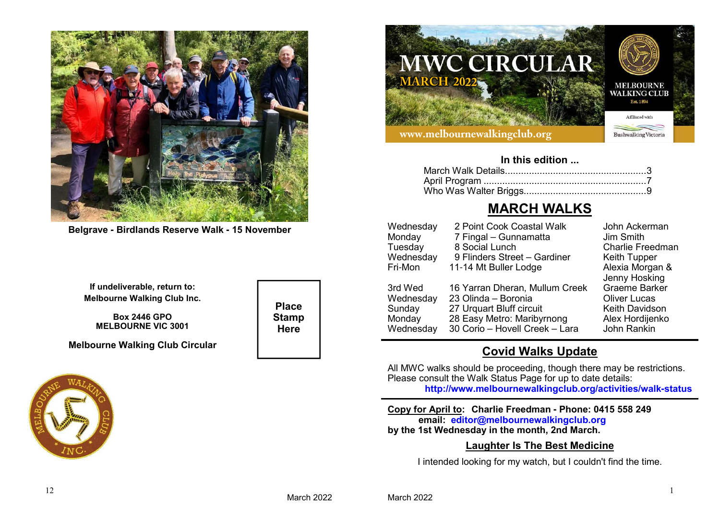

**Belgrave - Birdlands Reserve Walk - 15 November**

**If undeliverable, return to:Melbourne Walking Club Inc.**

**Box 2446 GPOMELBOURNE VIC 3001**

**Melbourne Walking Club Circular**



**Place StampHere**



#### **In this edition ...**

# **MARCH WALKS**

| Wednesday | 2 Point Cook Coastal Walk      | John Ackerman           |
|-----------|--------------------------------|-------------------------|
| Monday    | 7 Fingal - Gunnamatta          | Jim Smith               |
| Tuesday   | 8 Social Lunch                 | <b>Charlie Freedman</b> |
| Wednesday | 9 Flinders Street - Gardiner   | <b>Keith Tupper</b>     |
| Fri-Mon   | 11-14 Mt Buller Lodge          | Alexia Morgan &         |
|           |                                | Jenny Hosking           |
| 3rd Wed   | 16 Yarran Dheran, Mullum Creek | <b>Graeme Barker</b>    |
| Wednesday | 23 Olinda - Boronia            | <b>Oliver Lucas</b>     |
| Sunday    | 27 Urquart Bluff circuit       | <b>Keith Davidson</b>   |
| Monday    | 28 Easy Metro: Maribyrnong     | Alex Hordijenko         |
| Wednesday | 30 Corio - Hovell Creek - Lara | John Rankin             |
|           |                                |                         |

# **Covid Walks Update**

 All MWC walks should be proceeding, though there may be restrictions. Please consult the Walk Status Page for up to date details:**http://www.melbournewalkingclub.org/activities/walk-status**

**Copy for April to: Charlie Freedman - Phone: 0415 558 249email: editor@melbournewalkingclub.orgby the 1st Wednesday in the month, 2nd March.**

## **Laughter Is The Best Medicine**

I intended looking for my watch, but I couldn't find the time.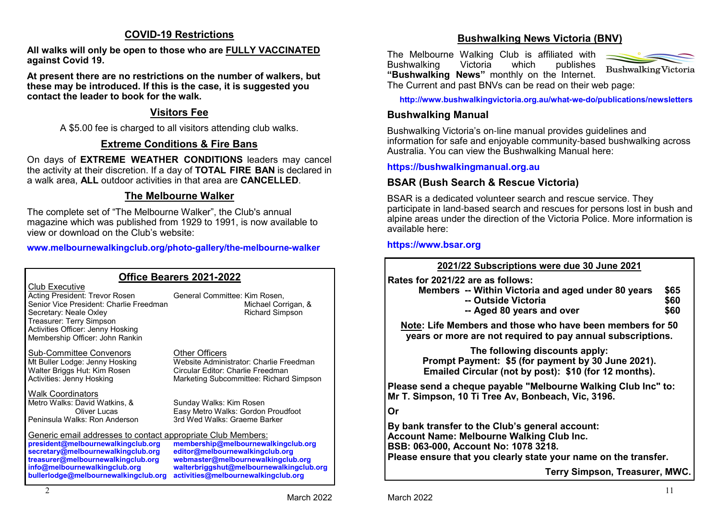## **COVID-19 Restrictions**

**All walks will only be open to those who are FULLY VACCINATED against Covid 19.**

**At present there are no restrictions on the number of walkers, but these may be introduced. If this is the case, it is suggested you contact the leader to book for the walk.**

## **Visitors Fee**

A \$5.00 fee is charged to all visitors attending club walks.

# **Extreme Conditions & Fire Bans**

 On days of **EXTREME WEATHER CONDITIONS** leaders may cancel the activity at their discretion. If a day of **TOTAL FIRE BAN** is declared in a walk area, **ALL** outdoor activities in that area are **CANCELLED**.

# **The Melbourne Walker**

The complete set of "The Melbourne Walker", the Club's annual magazine which was published from 1929 to 1991, is now available to view or download on the Club's website:

**www.melbournewalkingclub.org/photo-gallery/the-melbourne-walker**

| Office Bearers 2021-2022                                                                                                                                                                                                                                |                                                                                                                                                                                                 |  |  |  |
|---------------------------------------------------------------------------------------------------------------------------------------------------------------------------------------------------------------------------------------------------------|-------------------------------------------------------------------------------------------------------------------------------------------------------------------------------------------------|--|--|--|
| Club Executive<br>Acting President: Trevor Rosen<br>Senior Vice President: Charlie Freedman<br>Secretary: Neale Oxley<br>Treasurer: Terry Simpson<br>Activities Officer: Jenny Hosking<br>Membership Officer: John Rankin                               | General Committee: Kim Rosen,<br>Michael Corrigan, &<br><b>Richard Simpson</b>                                                                                                                  |  |  |  |
| Sub-Committee Convenors<br>Mt Buller Lodge: Jenny Hosking<br>Walter Briggs Hut: Kim Rosen<br>Activities: Jenny Hosking                                                                                                                                  | Other Officers<br>Website Administrator: Charlie Freedman<br>Circular Editor: Charlie Freedman<br>Marketing Subcommittee: Richard Simpson                                                       |  |  |  |
| <b>Walk Coordinators</b><br>Metro Walks: David Watkins, &<br>Oliver Lucas<br>Peninsula Walks: Ron Anderson                                                                                                                                              | Sunday Walks: Kim Rosen<br>Easy Metro Walks: Gordon Proudfoot<br>3rd Wed Walks: Graeme Barker                                                                                                   |  |  |  |
| Generic email addresses to contact appropriate Club Members:<br>president@melbournewalkingclub.org<br>secretary@melbournewalkingclub.org<br>treasurer@melbournewalkingclub.org<br>info@melbournewalkingclub.org<br>bullerlodge@melbournewalkingclub.org | membership@melbournewalkingclub.org<br>editor@melbournewalkingclub.org<br>webmaster@melbournewalkingclub.org<br>walterbriggshut@melbournewalkingclub.org<br>activities@melbournewalkingclub.org |  |  |  |

# **Bushwalking News Victoria (BNV)**

The Melbourne Walking Club is affiliated with<br>Bushwalking Victoria which publishes publishes **Bushwalking "Bushwalking News"** monthly on the Internet.



The Current and past BNVs can be read on their web page:

**http://www.bushwalkingvictoria.org.au/what-we-do/publications/newsletters**

## **Bushwalking Manual**

Bushwalking Victoria's on-line manual provides guidelines and information for safe and enjoyable community-based bushwalking across Australia. You can view the Bushwalking Manual here:

## **https://bushwalkingmanual.org.au**

# **BSAR (Bush Search & Rescue Victoria)**

BSAR is a dedicated volunteer search and rescue service. They participate in land-based search and rescues for persons lost in bush and alpine areas under the direction of the Victoria Police. More information is available here:

### **https://www.bsar.org**

**2021/22 Subscriptions were due 30 June 2021Rates for 2021/22 are as follows: Members -- Within Victoria and aged under 80 years \$65 -- Outside Victoriaa** \$60 **-- Aged 80 years and over**r \$60 **Note: Life Members and those who have been members for 50 years or more are not required to pay annual subscriptions.The following discounts apply: Prompt Payment: \$5 (for payment by 30 June 2021). Emailed Circular (not by post): \$10 (for 12 months).Please send a cheque payable "Melbourne Walking Club Inc" to:Mr T. Simpson, 10 Ti Tree Av, Bonbeach, Vic, 3196.OrBy bank transfer to the Club's general account:Account Name: Melbourne Walking Club Inc.BSB: 063-000, Account No: 1078 3218.**

**Please ensure that you clearly state your name on the transfer.**

**Terry Simpson, Treasurer, MWC.**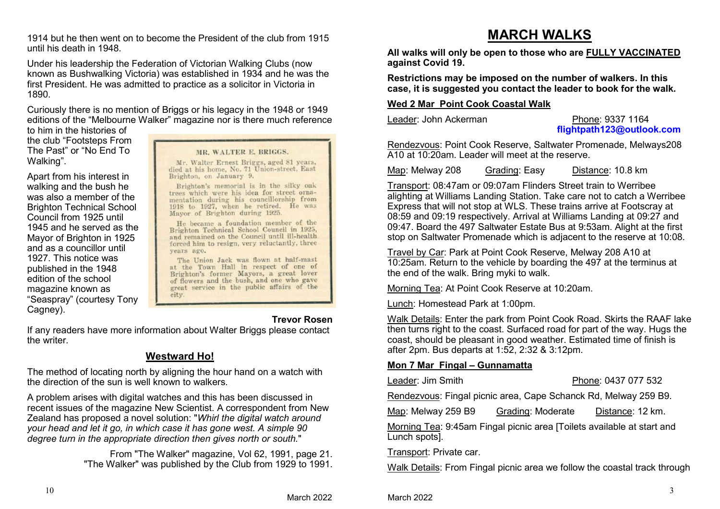1914 but he then went on to become the President of the club from 1915 until his death in 1948.

Under his leadership the Federation of Victorian Walking Clubs (now known as Bushwalking Victoria) was established in 1934 and he was the first President. He was admitted to practice as a solicitor in Victoria in 1890.

Curiously there is no mention of Briggs or his legacy in the 1948 or 1949 editions of the "Melbourne Walker" magazine nor is there much reference

to him in the histories of the club "Footsteps From The Past" or "No End To Walking".

Apart from his interest in walking and the bush he was also a member of the Brighton Technical School Council from 1925 until 1945 and he served as the Mayor of Brighton in 1925 and as a councillor until 1927. This notice was published in the 1948 edition of the school magazine known as "Seaspray" (courtesy Tony Cagney).

#### MR. WALTER E. BRIGGS.

Mr. Walter Ernest Briggs, aged 81 years, died at his home, No. 71 Union-street, East Brighton, on January 9.

Brighton's memorial is in the silky oak trees which were his idea for street ornamentation during his councillorship from 1918 to 1927, when he retired. He was Mayor of Brighton during 1925.

He became a foundation member of the Brighton Technical School Council in 1925, and remained on the Council until ill-health forced him to resign, very reluctantly, three years ago.

The Union Jack was flown at half-mast at the Town Hall in respect of one of Brighton's former Mayors, a great lover of flowers and the bush, and one who gave great service in the public affairs of the city.

#### **Trevor Rosen**

 If any readers have more information about Walter Briggs please contact the writer.

## **Westward Ho!**

The method of locating north by aligning the hour hand on a watch with the direction of the sun is well known to walkers.

A problem arises with digital watches and this has been discussed in recent issues of the magazine New Scientist. A correspondent from New Zealand has proposed a novel solution: "*Whirl the digital watch around your head and let it go, in which case it has gone west. A simple 90 degree turn in the appropriate direction then gives north or south.*"

> From "The Walker" magazine, Vol 62, 1991, page 21."The Walker" was published by the Club from 1929 to 1991.

# **MARCH WALKS**

 **All walks will only be open to those who are FULLY VACCINATED against Covid 19.**

**Restrictions may be imposed on the number of walkers. In this case, it is suggested you contact the leader to book for the walk.**

#### **Wed 2 Mar Point Cook Coastal Walk**

Leader: John Ackerman

#### Phone: 9337 1164 **flightpath123@outlook.com**

 Rendezvous: Point Cook Reserve, Saltwater Promenade, Melways208 A10 at 10:20am. Leader will meet at the reserve.

Map: Melway 208 Grading: EasyDistance: 10.8 km

 Transport: 08:47am or 09:07am Flinders Street train to Werribee alighting at Williams Landing Station. Take care not to catch a Werribee Express that will not stop at WLS. These trains arrive at Footscray at 08:59 and 09:19 respectively. Arrival at Williams Landing at 09:27 and 09:47. Board the 497 Saltwater Estate Bus at 9:53am. Alight at the first stop on Saltwater Promenade which is adjacent to the reserve at 10:08.

Travel by Car: Park at Point Cook Reserve, Melway 208 A10 at 10:25am. Return to the vehicle by boarding the 497 at the terminus at the end of the walk. Bring myki to walk.

Morning Tea: At Point Cook Reserve at 10:20am.

Lunch: Homestead Park at 1:00pm.

Walk Details: Enter the park from Point Cook Road. Skirts the RAAF lake then turns right to the coast. Surfaced road for part of the way. Hugs the coast, should be pleasant in good weather. Estimated time of finish is after 2pm. Bus departs at 1:52, 2:32 & 3:12pm.

#### **Mon 7 Mar Fingal – Gunnamatta**

Leader: Jim Smith

Phone: 0437 077 532

Rendezvous: Fingal picnic area, Cape Schanck Rd, Melway 259 B9.

Map: Melway 259 B9 Grading: Moderate Distance: 12 km.

Morning Tea: 9:45am Fingal picnic area [Toilets available at start and Lunch spots].

Transport: Private car.

Walk Details: From Fingal picnic area we follow the coastal track through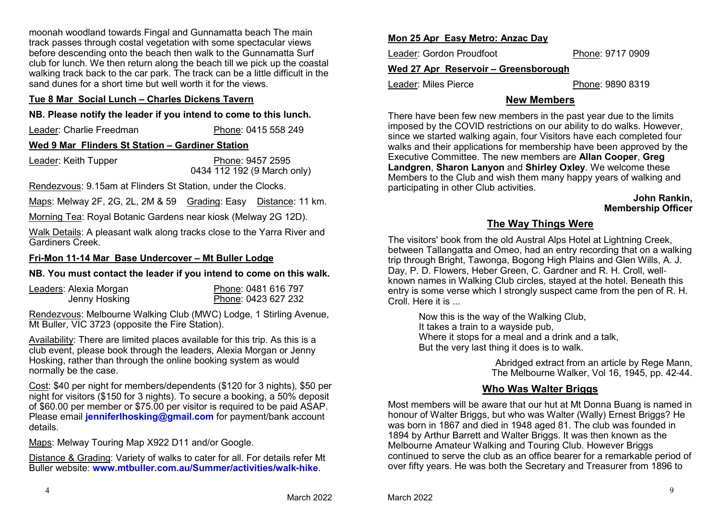moonah woodland towards Fingal and Gunnamatta beach The main track passes through costal vegetation with some spectacular views before descending onto the beach then walk to the Gunnamatta Surf club for lunch. We then return along the beach till we pick up the coastal walking track back to the car park. The track can be a little difficult in the sand dunes for a short time but well worth it for the views.

#### **Tue 8 Mar Social Lunch – Charles Dickens Tavern**

## **NB. Please notify the leader if you intend to come to this lunch.**

| Leader: Charlie Freedman                         | Phone: 0415 558 249 |  |  |  |
|--------------------------------------------------|---------------------|--|--|--|
| Wed 9 Mar Flinders St Station - Gardiner Station |                     |  |  |  |
| Looder: Keith Tunner                             | Dhana: 0457 OEOE    |  |  |  |

Leader: Keith Tupper Phone: 9457 25950434 112 192 (9 March only)

Rendezvous: 9.15am at Flinders St Station, under the Clocks.

Maps: Melway 2F, 2G, 2L, 2M & 59 Grading: Easy Distance: 11 km.

Morning Tea: Royal Botanic Gardens near kiosk (Melway 2G 12D).

Walk Details: A pleasant walk along tracks close to the Yarra River and Gardiners Creek.

#### **Fri-Mon 11-14 Mar Base Undercover – Mt Buller Lodge**

# **NB. You must contact the leader if you intend to come on this walk.**

| Leaders: Alexia Morgan | Phone: 0481 616 797 |
|------------------------|---------------------|
| Jenny Hosking          | Phone: 0423 627 232 |

Rendezvous: Melbourne Walking Club (MWC) Lodge, 1 Stirling Avenue, Mt Buller, VIC 3723 (opposite the Fire Station).

Availability: There are limited places available for this trip. As this is a club event, please book through the leaders, Alexia Morgan or Jenny Hosking, rather than through the online booking system as would normally be the case.

Cost: \$40 per night for members/dependents (\$120 for 3 nights), \$50 per  $\overline{\text{night}}$  for visitors (\$150 for 3 nights). To secure a booking, a 50% deposit of \$60.00 per member or \$75.00 per visitor is required to be paid ASAP. Please email **jenniferlhosking@gmail.com** for payment/bank account details.

Maps: Melway Touring Map X922 D11 and/or Google.

Distance & Grading: Variety of walks to cater for all. For details refer Mt Buller website: **www.mtbuller.com.au/Summer/activities/walk-hike**.

## **Mon 25 Apr Easy Metro: Anzac Day**

Leader: Gordon Proudfoot

Phone: 9717 0909

## **Wed 27 Apr Reservoir – Greensborough**

Leader: Miles Pierce

Phone: 9890 8319

# **New Members**

There have been few new members in the past year due to the limits imposed by the COVID restrictions on our ability to do walks. However, since we started walking again, four Visitors have each completed four walks and their applications for membership have been approved by the Executive Committee. The new members are **Allan Cooper**, **Greg Landgren**, **Sharon Lanyon** and **Shirley Oxley**. We welcome these Members to the Club and wish them many happy years of walking and participating in other Club activities.

#### **John Rankin,Membership Officer**

# **The Way Things Were**

The visitors' book from the old Austral Alps Hotel at Lightning Creek, between Tallangatta and Omeo, had an entry recording that on a walking trip through Bright, Tawonga, Bogong High Plains and Glen Wills, A. J. Day, P. D. Flowers, Heber Green, C. Gardner and R. H. Croll, well known names in Walking Club circles, stayed at the hotel. Beneath this entry is some verse which I strongly suspect came from the pen of R. H. Croll. Here it is

> Now this is the way of the Walking Club,It takes a train to a wayside pub, Where it stops for a meal and a drink and a talk,But the very last thing it does is to walk.

> > Abridged extract from an article by Rege Mann,The Melbourne Walker, Vol 16, 1945, pp. 42-44.

# **Who Was Walter Briggs**

Most members will be aware that our hut at Mt Donna Buang is named in honour of Walter Briggs, but who was Walter (Wally) Ernest Briggs? He was born in 1867 and died in 1948 aged 81. The club was founded in 1894 by Arthur Barrett and Walter Briggs. It was then known as the Melbourne Amateur Walking and Touring Club. However Briggs continued to serve the club as an office bearer for a remarkable period of over fifty years. He was both the Secretary and Treasurer from 1896 to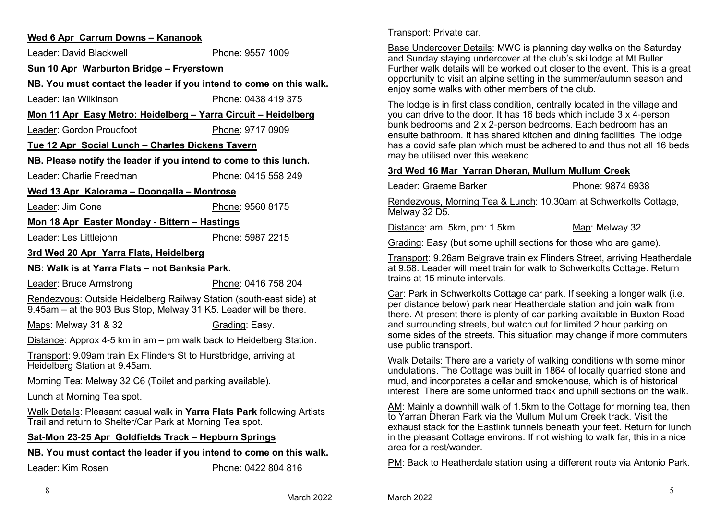#### **Wed 6 Apr Carrum Downs – Kananook**

Leader: David Blackwell Phone: 9557 1009**Sun 10 Apr Warburton Bridge – FryerstownNB. You must contact the leader if you intend to come on this walk.**Leader: Ian Wilkinson Phone: 0438 419 375 **Mon 11 Apr Easy Metro: Heidelberg – Yarra Circuit – Heidelberg**Leader: Gordon Proudfoot Phone: 9717 0909**Tue 12 Apr Social Lunch – Charles Dickens TavernNB. Please notify the leader if you intend to come to this lunch.**Leader: Charlie Freedman Phone: 0415 558 249 **Wed 13 Apr Kalorama – Doongalla – Montrose**Leader: Jim Cone Phone: 9560 8175 **Mon 18 Apr Easter Monday - Bittern – Hastings**Leader: Les Littlejohn Phone: 5987 2215 **3rd Wed 20 Apr Yarra Flats, HeidelbergNB: Walk is at Yarra Flats – not Banksia Park.**Leader: Bruce Armstrong Phone: 0416 758 204 Rendezvous: Outside Heidelberg Railway Station (south-east side) at 9.45am – at the 903 Bus Stop, Melway 31 K5. Leader will be there.Maps: Melway 31 & 32 Grading: Easy. <u>Distance</u>: Approx 4-5 km in am – pm walk back to Heidelberg Station. Transport: 9.09am train Ex Flinders St to Hurstbridge, arriving at Heidelberg Station at 9.45am.Morning Tea: Melway 32 C6 (Toilet and parking available).

Lunch at Morning Tea spot.

Walk Details: Pleasant casual walk in **Yarra Flats Park** following Artists Trail and return to Shelter/Car Park at Morning Tea spot.

#### **Sat-Mon 23-25 Apr Goldfields Track – Hepburn Springs**

**NB. You must contact the leader if you intend to come on this walk.**

Leader: Kim Rosen

Phone: 0422 804 816

Transport: Private car.

Leader: Graeme Barker

Base Undercover Details: MWC is planning day walks on the Saturday and Sunday staying undercover at the club's ski lodge at Mt Buller. Further walk details will be worked out closer to the event. This is a great opportunity to visit an alpine setting in the summer/autumn season and enjoy some walks with other members of the club.

The lodge is in first class condition, centrally located in the village and you can drive to the door. It has 16 beds which include 3 x 4-person bunk bedrooms and 2 x 2-person bedrooms. Each bedroom has an ensuite bathroom. It has shared kitchen and dining facilities. The lodge has a covid safe plan which must be adhered to and thus not all 16 beds may be utilised over this weekend.

#### **3rd Wed 16 Mar Yarran Dheran, Mullum Mullum Creek**

Phone: 9874 6938

Rendezvous, Morning Tea & Lunch: 10.30am at Schwerkolts Cottage, Melway 32 D5.

Distance: am: 5km, pm: 1.5km

Grading: Easy (but some uphill sections for those who are game).

Map: Melway 32.

Transport: 9.26am Belgrave train ex Flinders Street, arriving Heatherdale at 9.58. Leader will meet train for walk to Schwerkolts Cottage. Return trains at 15 minute intervals.

Car: Park in Schwerkolts Cottage car park. If seeking a longer walk (i.e. per distance below) park near Heatherdale station and join walk from there. At present there is plenty of car parking available in Buxton Road and surrounding streets, but watch out for limited 2 hour parking on some sides of the streets. This situation may change if more commuters use public transport.

Walk Details: There are a variety of walking conditions with some minor undulations. The Cottage was built in 1864 of locally quarried stone and mud, and incorporates a cellar and smokehouse, which is of historical interest. There are some unformed track and uphill sections on the walk.

AM: Mainly a downhill walk of 1.5km to the Cottage for morning tea, then to Yarran Dheran Park via the Mullum Mullum Creek track. Visit the exhaust stack for the Eastlink tunnels beneath your feet. Return for lunch in the pleasant Cottage environs. If not wishing to walk far, this in a nice area for a rest/wander.

PM: Back to Heatherdale station using a different route via Antonio Park.